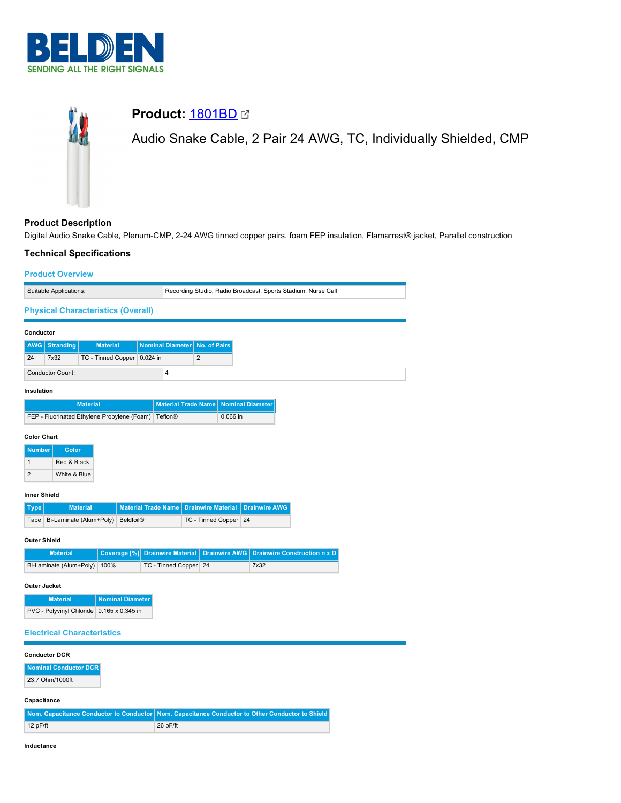

# Digital Audio Snake Cable, Plenum-CMP, 2-24 AWG tinned copper pairs, foam FEP insulation, Flamarrest® jacket, Parallel construction **Product Overview** Suitable Applications: Recording Studio, Radio Broadcast, Sports Stadium, Nurse Call **Physical Characteristics (Overall) Conductor AWG Stranding Material Nominal Diameter No. of Pairs 24 7x32 TC - Tinned Copper 0.024 in** 2 Conductor Count: 4 **Insulation Material Material Trade Name | Nominal Diameter** FEP - Fluorinated Ethylene Propylene (Foam) Teflon® 2.066 in **Color Chart Number Color** 1 Red & Black 2 White & Blue **Inner Shield Type Material Material Trade Name Drainwire Material Drainwire AWG** Tape Bi-Laminate (Alum+Poly) Beldfoil® TC - Tinned Copper 24 **Outer Shield Material Coverage [%] Drainwire Material Drainwire AWG Drainwire Construction n x D** Bi-Laminate (Alum+Poly) 100% TC - Tinned Copper 24 7x32 **Outer Jacket Material Nominal Diam** PVC - Polyvinyl Chloride 0.165 x 0.345 in **Electrical Characteristics Conductor DCR Nominal Conductor DCR** 23.7 Ohm/1000ft **Capacitance Nom. Capacitance Conductor to Conductor Nom. Capacitance Conductor to Other Conductor to Shield** 12 pF/ft 26 pF/ft **Inductance**

## **Product:** [1801BD](https://catalog.belden.com/index.cfm?event=pd&p=PF_1801BD&tab=downloads)

Audio Snake Cable, 2 Pair 24 AWG, TC, Individually Shielded, CMP

### **Product Description**

#### **Technical Specifications**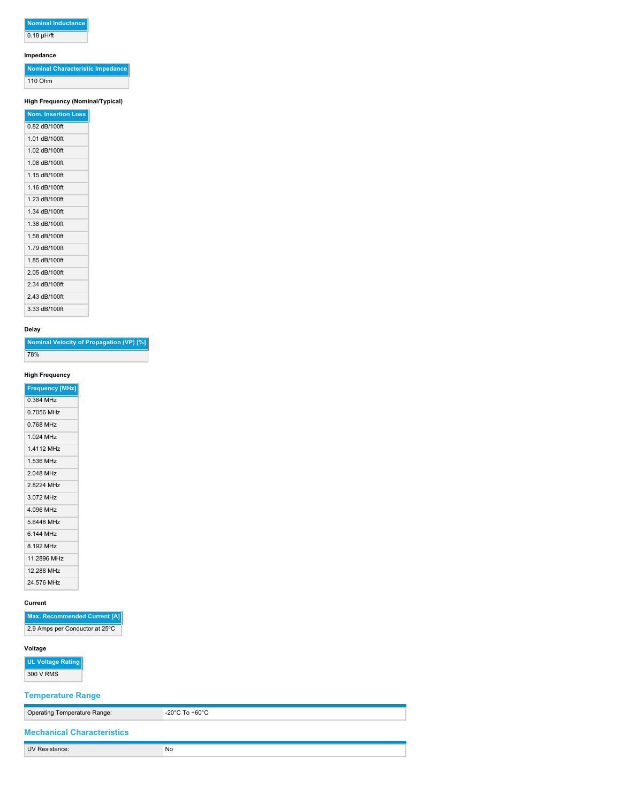#### **Nominal Inductance**  $\overline{0.18 \mu H/ft}$

#### **Impedance**

**Nominal Characteristic Impedance** 110 Ohm

#### **High Frequency (Nominal/Typical)**

| <b>Nom. Insertion Loss</b> |
|----------------------------|
| $0.82$ dB/100ft            |
| 1.01 dB/100ft              |
| 1.02 dB/100ft              |
| 1.08 dB/100ft              |
| 1.15 dB/100ft              |
| 1.16 dB/100ft              |
| 1.23 dB/100ft              |
| 1.34 dB/100ft              |
| 1.38 dB/100ft              |
| 1.58 dB/100ft              |
| 1.79 dB/100ft              |
| 1.85 dB/100ft              |
| 2.05 dB/100ft              |
| 2.34 dB/100ft              |
| 2.43 dB/100ft              |
| 3.33 dB/100ft              |

#### **Delay**

| <b>Nominal Velocity of Propagation (VP) [%]</b> |
|-------------------------------------------------|
| 78%                                             |

#### **High Frequency**

| <b>Frequency [MHz]</b> |
|------------------------|
| 0.384 MHz              |
| 0.7056 MHz             |
| 0.768 MHz              |
| 1.024 MHz              |
| 1.4112 MHz             |
| 1.536 MHz              |
| 2 048 MHz              |
| 2.8224 MHz             |
| 3072 MHz               |
| 4.096 MHz              |
| 5.6448 MHz             |
| 6 144 MHz              |
| 8.192 MHz              |
| 11.2896 MHz            |
| 12.288 MHz             |
| 24 576 MHz             |

#### **Current**

**Max. Recommended Current [A]** 2.9 Amps per Conductor at 25ºC

### **Voltage**

**UL Voltage Rating** 300 V RMS

#### **Temperature Range**

Operating Temperature Range:  $-20^{\circ}$ C To +60°C

#### **Mechanical Characteristics**

UV Resistance: No